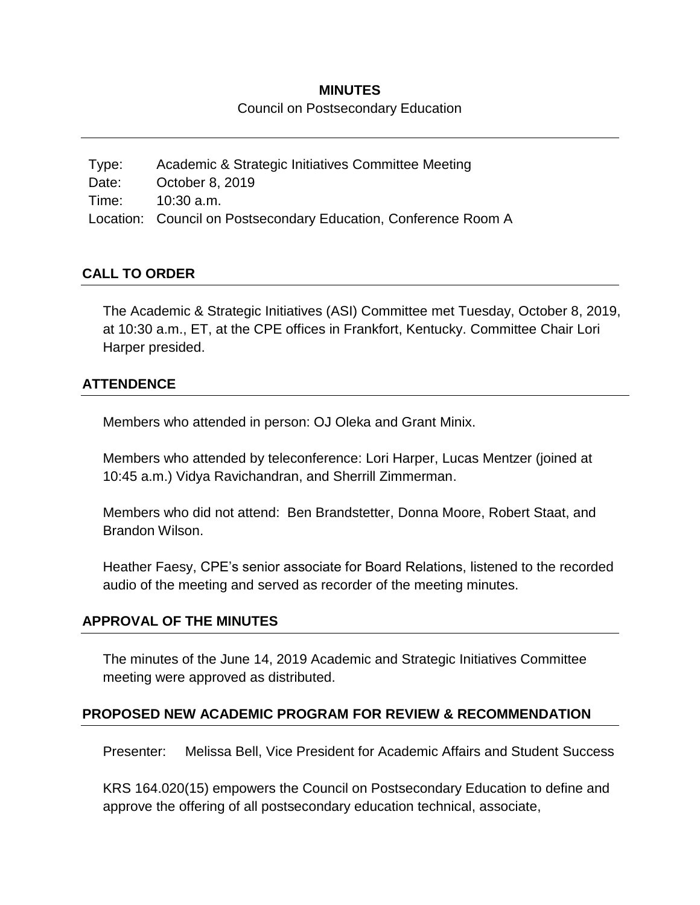#### **MINUTES**

Council on Postsecondary Education

Type: Academic & Strategic Initiatives Committee Meeting Date: October 8, 2019 Time: 10:30 a.m. Location: Council on Postsecondary Education, Conference Room A

### **CALL TO ORDER**

The Academic & Strategic Initiatives (ASI) Committee met Tuesday, October 8, 2019, at 10:30 a.m., ET, at the CPE offices in Frankfort, Kentucky. Committee Chair Lori Harper presided.

### **ATTENDENCE**

Members who attended in person: OJ Oleka and Grant Minix.

Members who attended by teleconference: Lori Harper, Lucas Mentzer (joined at 10:45 a.m.) Vidya Ravichandran, and Sherrill Zimmerman.

Members who did not attend: Ben Brandstetter, Donna Moore, Robert Staat, and Brandon Wilson.

Heather Faesy, CPE's senior associate for Board Relations, listened to the recorded audio of the meeting and served as recorder of the meeting minutes.

#### **APPROVAL OF THE MINUTES**

The minutes of the June 14, 2019 Academic and Strategic Initiatives Committee meeting were approved as distributed.

#### **PROPOSED NEW ACADEMIC PROGRAM FOR REVIEW & RECOMMENDATION**

Presenter: Melissa Bell, Vice President for Academic Affairs and Student Success

KRS 164.020(15) empowers the Council on Postsecondary Education to define and approve the offering of all postsecondary education technical, associate,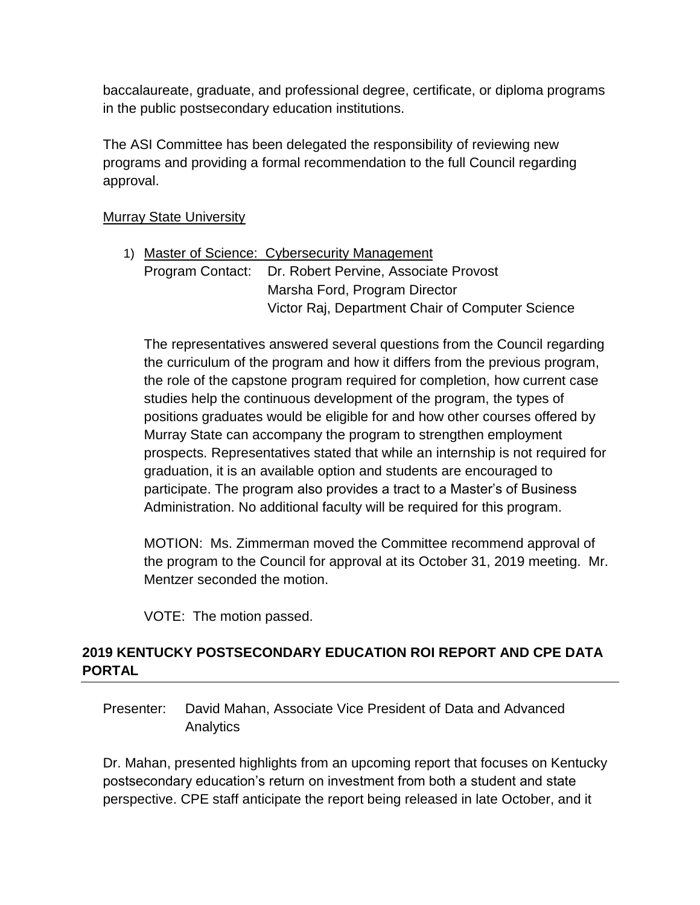baccalaureate, graduate, and professional degree, certificate, or diploma programs in the public postsecondary education institutions.

The ASI Committee has been delegated the responsibility of reviewing new programs and providing a formal recommendation to the full Council regarding approval.

#### **Murray State University**

|  | 1) Master of Science: Cybersecurity Management         |
|--|--------------------------------------------------------|
|  | Program Contact: Dr. Robert Pervine, Associate Provost |
|  | Marsha Ford, Program Director                          |
|  | Victor Raj, Department Chair of Computer Science       |
|  |                                                        |

The representatives answered several questions from the Council regarding the curriculum of the program and how it differs from the previous program, the role of the capstone program required for completion, how current case studies help the continuous development of the program, the types of positions graduates would be eligible for and how other courses offered by Murray State can accompany the program to strengthen employment prospects. Representatives stated that while an internship is not required for graduation, it is an available option and students are encouraged to participate. The program also provides a tract to a Master's of Business Administration. No additional faculty will be required for this program.

MOTION: Ms. Zimmerman moved the Committee recommend approval of the program to the Council for approval at its October 31, 2019 meeting. Mr. Mentzer seconded the motion.

VOTE: The motion passed.

# **2019 KENTUCKY POSTSECONDARY EDUCATION ROI REPORT AND CPE DATA PORTAL**

Presenter: David Mahan, Associate Vice President of Data and Advanced Analytics

Dr. Mahan, presented highlights from an upcoming report that focuses on Kentucky postsecondary education's return on investment from both a student and state perspective. CPE staff anticipate the report being released in late October, and it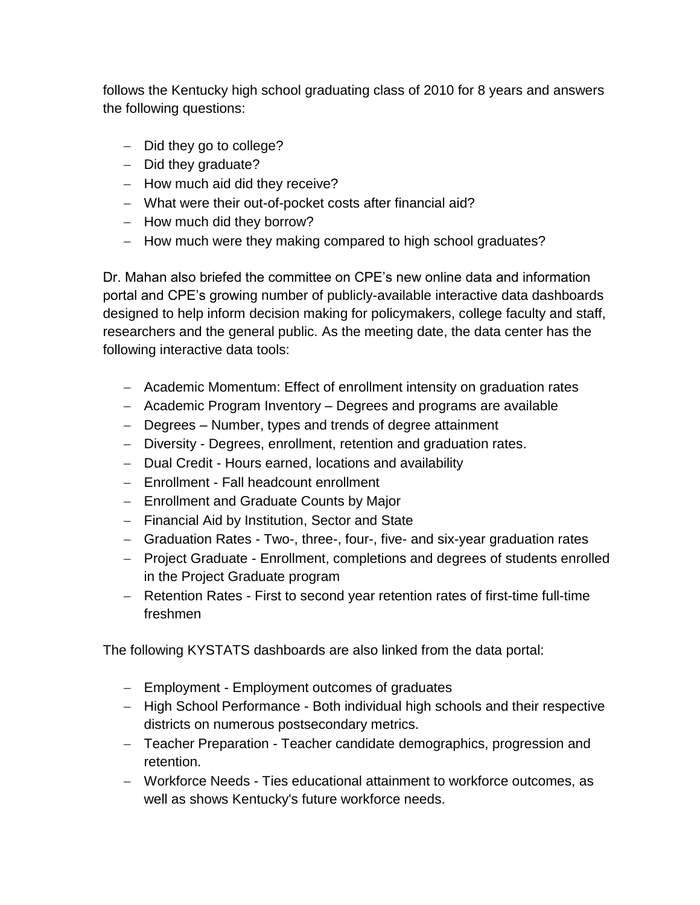follows the Kentucky high school graduating class of 2010 for 8 years and answers the following questions:

- $-$  Did they go to college?
- $-$  Did they graduate?
- $-$  How much aid did they receive?
- What were their out-of-pocket costs after financial aid?
- $-$  How much did they borrow?
- How much were they making compared to high school graduates?

Dr. Mahan also briefed the committee on CPE's new online data and information portal and CPE's growing number of publicly-available interactive data dashboards designed to help inform decision making for policymakers, college faculty and staff, researchers and the general public. As the meeting date, the data center has the following interactive data tools:

- Academic Momentum: Effect of enrollment intensity on graduation rates
- Academic Program Inventory Degrees and programs are available
- Degrees Number, types and trends of degree attainment
- Diversity Degrees, enrollment, retention and graduation rates.
- Dual Credit Hours earned, locations and availability
- Enrollment Fall headcount enrollment
- Enrollment and Graduate Counts by Major
- Financial Aid by Institution, Sector and State
- Graduation Rates Two-, three-, four-, five- and six-year graduation rates
- Project Graduate Enrollment, completions and degrees of students enrolled in the Project Graduate program
- Retention Rates First to second year retention rates of first-time full-time freshmen

The following KYSTATS dashboards are also linked from the data portal:

- Employment Employment outcomes of graduates
- High School Performance Both individual high schools and their respective districts on numerous postsecondary metrics.
- Teacher Preparation Teacher candidate demographics, progression and retention.
- Workforce Needs Ties educational attainment to workforce outcomes, as well as shows Kentucky's future workforce needs.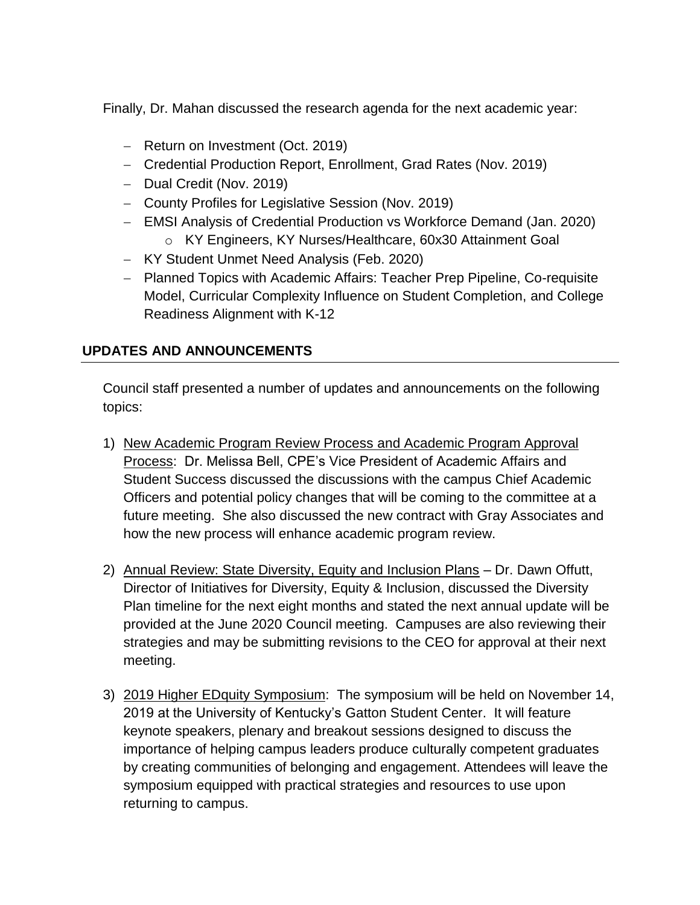Finally, Dr. Mahan discussed the research agenda for the next academic year:

- Return on Investment (Oct. 2019)
- Credential Production Report, Enrollment, Grad Rates (Nov. 2019)
- Dual Credit (Nov. 2019)
- County Profiles for Legislative Session (Nov. 2019)
- EMSI Analysis of Credential Production vs Workforce Demand (Jan. 2020) o KY Engineers, KY Nurses/Healthcare, 60x30 Attainment Goal
- KY Student Unmet Need Analysis (Feb. 2020)
- Planned Topics with Academic Affairs: Teacher Prep Pipeline, Co-requisite Model, Curricular Complexity Influence on Student Completion, and College Readiness Alignment with K-12

## **UPDATES AND ANNOUNCEMENTS**

Council staff presented a number of updates and announcements on the following topics:

- 1) New Academic Program Review Process and Academic Program Approval Process: Dr. Melissa Bell, CPE's Vice President of Academic Affairs and Student Success discussed the discussions with the campus Chief Academic Officers and potential policy changes that will be coming to the committee at a future meeting. She also discussed the new contract with Gray Associates and how the new process will enhance academic program review.
- 2) Annual Review: State Diversity, Equity and Inclusion Plans Dr. Dawn Offutt, Director of Initiatives for Diversity, Equity & Inclusion, discussed the Diversity Plan timeline for the next eight months and stated the next annual update will be provided at the June 2020 Council meeting. Campuses are also reviewing their strategies and may be submitting revisions to the CEO for approval at their next meeting.
- 3) 2019 Higher EDquity Symposium: The symposium will be held on November 14, 2019 at the University of Kentucky's Gatton Student Center. It will feature keynote speakers, plenary and breakout sessions designed to discuss the importance of helping campus leaders produce culturally competent graduates by creating communities of belonging and engagement. Attendees will leave the symposium equipped with practical strategies and resources to use upon returning to campus.